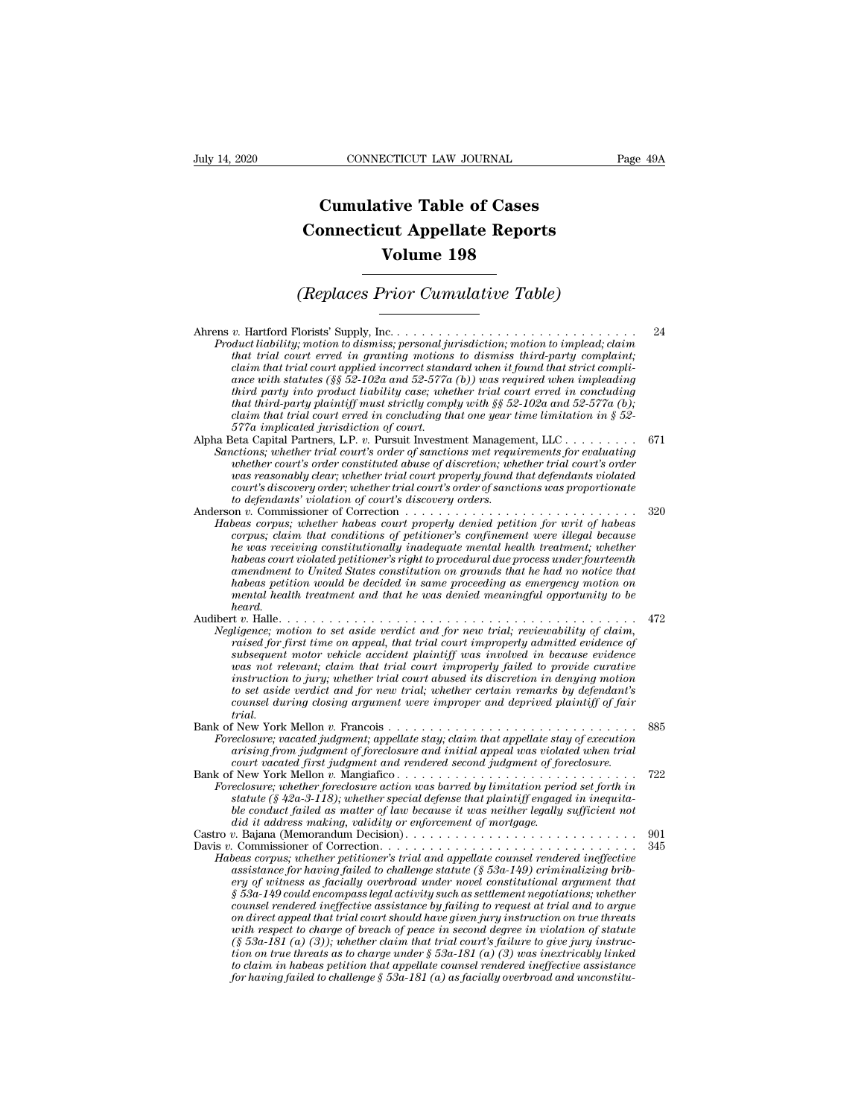## **CONNECTICUT LAW JOURNAL**<br> **Cumulative Table of Cases<br>
pnnecticut Appellate Reports CONNECTICUT LAW JOURNAL** Pa<br> **Cumulative Table of Cases**<br> **Connecticut Appellate Reports**<br> **Volume 198 ECTICUT LAW JOURNAL**<br> **Volume 198**<br> **Volume 198**<br> **Volume 198**<br> **Prior Cumulative Table) Cumulative Table of Cases<br>
Connecticut Appellate Reports<br>
Volume 198<br>
(Replaces Prior Cumulative Table)**<br> **Constant Prior Cumulative Table**

| Volume 198                                                                                                                                                                                                                                                                                                                                                                                                                                                                                                                                                                                                                                                                                                                                                                                                                                                                                                                                                                                 |            |
|--------------------------------------------------------------------------------------------------------------------------------------------------------------------------------------------------------------------------------------------------------------------------------------------------------------------------------------------------------------------------------------------------------------------------------------------------------------------------------------------------------------------------------------------------------------------------------------------------------------------------------------------------------------------------------------------------------------------------------------------------------------------------------------------------------------------------------------------------------------------------------------------------------------------------------------------------------------------------------------------|------------|
| (Replaces Prior Cumulative Table)                                                                                                                                                                                                                                                                                                                                                                                                                                                                                                                                                                                                                                                                                                                                                                                                                                                                                                                                                          |            |
| Product liability; motion to dismiss; personal jurisdiction; motion to implead; claim<br>that trial court erred in granting motions to dismiss third-party complaint;<br>claim that trial court applied incorrect standard when it found that strict compli-<br>ance with statutes (§§ 52-102a and 52-577a (b)) was required when impleading<br>third party into product liability case; whether trial court erred in concluding<br>that third-party plaintiff must strictly comply with $\S$ 52-102a and 52-577a (b);<br>claim that trial court erred in concluding that one year time limitation in $\S 52$ -<br>577a implicated jurisdiction of court.                                                                                                                                                                                                                                                                                                                                  | 24         |
| Alpha Beta Capital Partners, L.P. v. Pursuit Investment Management, LLC<br>Sanctions; whether trial court's order of sanctions met requirements for evaluating<br>whether court's order constituted abuse of discretion; whether trial court's order<br>was reasonably clear; whether trial court properly found that defendants violated<br>court's discovery order; whether trial court's order of sanctions was proportionate<br>to defendants' violation of court's discovery orders.                                                                                                                                                                                                                                                                                                                                                                                                                                                                                                  | 671        |
| Anderson v. Commissioner of Correction<br>.<br>Habeas corpus; whether habeas court properly denied petition for writ of habeas<br>corpus; claim that conditions of petitioner's confinement were illegal because<br>he was receiving constitutionally inadequate mental health treatment; whether<br>habeas court violated petitioner's right to procedural due process under fourteenth<br>amendment to United States constitution on grounds that he had no notice that<br>habeas petition would be decided in same proceeding as emergency motion on<br>mental health treatment and that he was denied meaningful opportunity to be<br>heard.                                                                                                                                                                                                                                                                                                                                           | 320        |
| Negligence; motion to set aside verdict and for new trial; reviewability of claim,<br>raised for first time on appeal, that trial court improperly admitted evidence of<br>subsequent motor vehicle accident plaintiff was involved in because evidence<br>was not relevant; claim that trial court improperly failed to provide curative<br>instruction to jury; whether trial court abused its discretion in denying motion<br>to set aside verdict and for new trial; whether certain remarks by defendant's<br>counsel during closing argument were improper and deprived plaintiff of fair<br>trial.                                                                                                                                                                                                                                                                                                                                                                                  | 472        |
| Foreclosure; vacated judgment; appellate stay; claim that appellate stay of execution<br>arising from judgment of foreclosure and initial appeal was violated when trial<br>court vacated first judgment and rendered second judgment of foreclosure.                                                                                                                                                                                                                                                                                                                                                                                                                                                                                                                                                                                                                                                                                                                                      | 885        |
| Foreclosure; whether foreclosure action was barred by limitation period set forth in<br>statute (§ 42a-3-118); whether special defense that plaintiff engaged in inequita-<br>ble conduct failed as matter of law because it was neither legally sufficient not<br>did it address making, validity or enforcement of mortgage.                                                                                                                                                                                                                                                                                                                                                                                                                                                                                                                                                                                                                                                             | 722        |
| Habeas corpus; whether petitioner's trial and appellate counsel rendered ineffective<br>assistance for having failed to challenge statute $(\S 53a-149)$ criminalizing brib-<br>ery of witness as facially overbroad under novel constitutional argument that<br>$\S$ 53a-149 could encompass legal activity such as settlement negotiations; whether<br>counsel rendered ineffective assistance by failing to request at trial and to arque<br>on direct appeal that trial court should have given jury instruction on true threats<br>with respect to charge of breach of peace in second degree in violation of statute<br>$(\S 53a-181(a)$ (3)); whether claim that trial court's failure to give jury instruc-<br>tion on true threats as to charge under $\S 53a-181$ (a) (3) was inextricably linked<br>to claim in habeas petition that appellate counsel rendered ineffective assistance<br>for having failed to challenge $\S$ 53a-181 (a) as facially overbroad and unconstitu- | 901<br>345 |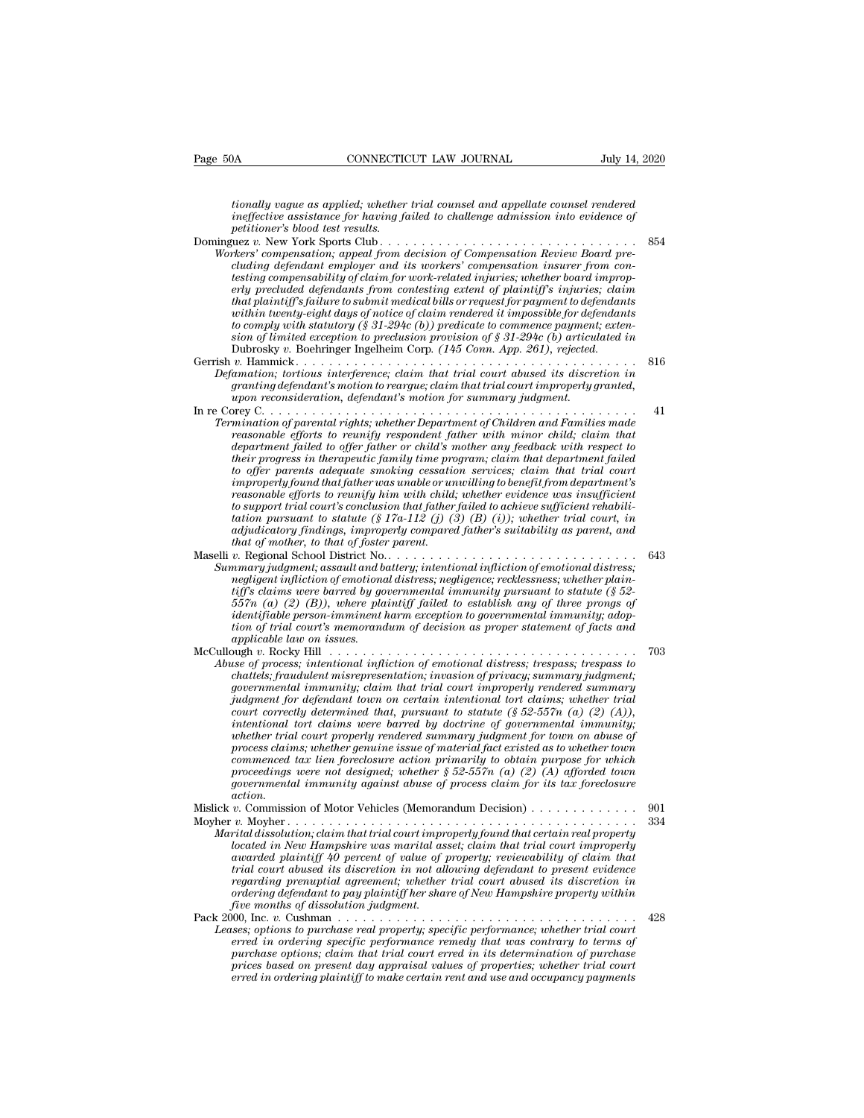*tionally vague as applied; whether trial counsel and appellate counsel rendered ineffective assignment* and *ineffective assignment* and *ineffective assignment ineffective assignment ineffective assignment ineffective assignment into evidence of pertitioner's blood test results.*<br> *inex y performally vague as applied; whether*<br>*ineffective assistance for having fapetitioner's blood test results.*<br>*petitioner's blood test results.*<br>*i.u.s. v. New York Sports Club....*<br>*rkers' compensation: ameal fram a* Dominguez *v.* New York Sports Club . . . . . . . . . . . . . . . . . . . . . . . . . . . . . . . <sup>854</sup> *Workerstanday vague as applied; whether trial counsel and appellate counsel rendered*<br>*ineffective assistance for having failed to challenge admission into evidence of<br>petitioner's blood test results.*<br>*Workers' compensat* 

- *cluding tionally vague as applied; whether trial counsel and appellate counsel rendered*<br> *ineffective assistance for having failed to challenge admission into evidence of*<br> *petitioner's blood test results.*<br> *cluez v. N tionally vague as applied; whether trial counsel and appellate counsel rendered*<br>*ineffective assistance for having failed to challenge admission into evidence of*<br>*petitioner's blood test results.*<br> $\mu$ ez  $v$ . New York S *erly precluive assistance for having failed to challenge admission into evidence of*<br>*ineffective assistance for having failed to challenge admission into evidence of*<br>*petitioner's blood test results.*<br> $P$ <br> $P$ <br> $P$ <br> $P$ <br> $P$ *that plaintiff's blood test results.*<br> *that is results to submit media for that is a here is compensation compensation; appeal from decision of Compensation Review Board pre-<br>
cluding defendant employer and its workers' within twenty-eight days of notice of claim rendered it impossible for defendants thers'* compensation; appeal from decision of Compensation Review Board pre-<br>cluding defendant employer and its workers' compensation insurer from con-<br>cluding defendant employer and its work-related injuries; whether boa *Workers' compensation; appeal from decision of Compensation Review Board precluding defendant employer and its workers' compensation insurer from contesting compensability of claim for work-related injuries; whether boar* cluding defendant employer and its workers' compensation insurer from coifficient disting compensability of claim for work-related injuries; whether board improperly precluded defendants from contesting extent of plaintiff Esting compensionity of carm for work-retated rightnes; whener oodra improperty<br>
erly precluded defendants from contesting extent of plaintiff's injuries; claim<br>
that plaintiff's failure to submit medical bills or request *Proculaed agendants from contesting extent of plaintyfs influence; claim that plaintiff's failure to submit medical bills or request for payment to defendants to comply with statutory (§ 31-294c (b)) predicate to commence granting thanty is jaune to submit medical buls or request for payment to defendants*<br>within twenty-eight days of notice of claim rendered it impossible for defendants<br>to comply with statutory (§ 31-294c (b)) predicate to *upon reconsideration of \$31-294c (b))* predicate to commence payment sion of limited exception to preclusion provision of \$31-294c (b) articulation; however the summarization of limited exception to preclusion provision o be comply will statuting ( $S$  31-294c ( $0$ )) predicted to commence payment; extension for  $S$  in  $\mathcal{O}(D)$  articulated in Dubrosky v. Boehriger Ingellem Corp.  $(145 \text{ Com.} \text{ App. } 261)$ , rejected.<br>Gerrish v. Hammick . . . .
- *Termination of parental rights; whether Department of Children and Families made reasonable through and rights; whether Department of Children and Families made reasonable of parental rights; whether Department of Childre*
- *reasonable efforts to reunify respondent father with minichally relation; to remaining defendant's motion to reargue; claim that trial court abused its discretion in granting defendant's motion to reargue; claim that tria department failed to offer father or child's mother any feedback with respect to the increase in the intergerence; claim that trial court abused its asscretion in granting defendant's motion to reargue; claim that trial court improperly granted, upon reconsideration, defendant's motion for summary jud to offer parents adequate smoking cessation services; claim that trial court improperly found that father was unable or unwilling to benefit from department's reasonable efforts to reunify subtence the partment of Children and Families made reasonable efforts to reunify respondent father with minor child; claim that department failed to offer father or child's mother any feedb reasonable efforts to reunify respondent father with minor child; claim that department failed to offer father or child's mother any feedback with respect to their progress in therapeutic family time program; claim that reasonable efforts to reunify respondent father with minor child; claim that*<br>department failed to offer father or child's mother any feedback with respect to<br>their progress in therapeutic family time program; claim that *department jailed to offer jather or child's mother any jeedback with respect to their progress in therapeutic family time program; claim that department failed to offer parents adequate smoking cessation services; claim their progress in therapeutic family time pro*<br>to offer parents adequate smoking cessatic<br>improperly found that father was unable or unity<br>reasonable efforts to reunify him with child,<br>to support trial court's conclusion Maselli *v.* Regional that father was unable or unwilling to benefit from department's<br>reasonable efforts to reunify him with child; whether evidence was insufficient<br>to support trial court's conclusion that father failed *Summary jouna that jamer was unable or unwulling to benefit from department s*<br> *Sumport trial courtly conclusion that did; whether evidence was insufficient thabilitation pursuant to statute* ( $\frac{1}{2}$  Ta-112 (j) (3) (B
- *reasonable efforts to reamly nim with chila, whether evidence was insufficient*<br>to support trial court's conclusion that father failed to achieve sufficient rehabili-<br>tation pursuant to statute (§ 17a-112 (j) (3) (B) (i)) *to support trial court's conclusion that jather jatiled to achieve sufficient renabilition pursuant to statute (§ 17a-112 (j) (3) (B) (i)); whether trial court, in addiudicatory findings, improperly compared father's suit failing pursuant to statute (§ 17a-112 (J) (3) (B) (0)); whether trial court, in addjudicatory findings, improperly compared father's suitability as parent, and that of mother, to that of foster parent.*<br> *v.* Regional S *identifiable person-imminent harm exception to governmental immunity; adoption of trial court's memorandum of decision as proper statement of facts and v. Regional School District No.*<br> *amary judgment; assault and b*<br> *angligent infliction of emotion complines*<br> *itiff's claims were bared by go*<br> *dentifiable person-imminent l<br>
<i>ion of trial court's memorana*<br> *applicab* McCullough *inflation of emotional distress; negligence; recklessness; whether plaintifficition of emotional distress; negligence; recklessness; whether plaintiff sclaims were barred by governmental immunity pursuant to st Abuse of process, intentional ansienss; inequagence; recklessiess; uneuher plantiff's claims were barred by governmental immunity pursuant to statute (§ 52-657* $n$  *(a) (2) (B)), where plaintiff failed to establish any of t*
- *chattels; fraudulent misrepresentation; invasion of privacy; summary judgment for dentifiable person-imminent harm exception to governmental immunity; adoption of trial court's memorandum of decision as proper statement o governmental immunity Jauea to establish any of three promps of*<br>*identifiable person-imminent harm exception to governmental immunity; adop-<br>tion of trial court's memorandum of decision as proper statement of facts and<br>a judgment for defendant town on certain intentional tort claims; whether trial court correctly determined that, pursuant to statute (§ 52-557n (a) (2) (A)), index* and the massues.<br> *index* were of process; intentional infliction of emotional distress; trespass; trespass to<br>  ${se}$  of process; intentional infliction of emotional distress; trespass; trespass to<br>  ${chattels}$ ; fraudu *whether trial court infliction of emotional distress; trespass; trespass to*  $1003$  *we of process; intentional infliction of emotional distress; frespass; trespass to covernmental immunity; claim that trial court impro process; intentional infliction of emotional distress; trespass; trespass to*<br>chattels; fraudulent misrepresentation; invasion of privacy; summarry governmental immunity; claim that trial court improperly rendered summary *chattels; fraudulent misrepresentation; invasion of privacy; summary judgment;*<br>governmental immunity; claim that trial court improperly rendered summary<br>judgment for defendant town on certain intentional tort claims; whe *povernmental immunity; claim that trial court improperty rendered summary pudgment for defendant town on certain intentional tort claims; whether trial court correctly determined that, pursuant to statute (§ 52-557n (a) guagment for defendant town on certain intentional tort claims; whether trial court correctly determined that, pursuant to statute (§ 52-557n (a) (2) (A)), intentional tort claims were barred by doctrine of governmental i action.*<br>Mislick v. Commission of Motor Vehicles (Memorandum Decision) . . . . . . . . . . . . . . mentional form claims were barrea by doctrine by governmental immunity;<br>whether trial court properly rendered summary judgment for town on abuse of<br>process claims; whether genuine issue of material fact existed as to wheth mether rind count properly relative to sammary jumpering the crisis of process claims; whether genuine issue of material fact existed as to whether town<br>commenced tax lien foreclosure action primarily to obtain purpose for *Marital dissolution; claim forcelosure action primarily to obtain proper for which*<br>*morecedings were not designed; whether* § 52-557*n* (*a*) (*a*) (*A*) afforded town<br>*governmental immunity against abuse of process clai*
- *commenced iax iden jorecosure action primarity to obtain purpose for which*<br>*governmental immunity against abuse of process claim for its tax foreclosure*<br>*action.*<br>*v.* Commission of Motor Vehicles (Memorandum Decision) *a*<br> *action. action awarded immunity against abuse of process claim for its tax foreclosure*<br> *action.* <br> *action.* <br> *action.* **a** *and that trial court improperty found that certain real property<br>
<i>v*. Moyher  $\ldots$ *tower*<br> *the commission of Motor Vehicles (Memorandum Decision)*<br> *v. Commission of Motor Vehicles (Memorandum Decision)*<br> *v. Moyher*<br> *v. Moyher*<br> *v. Moyher*<br> *v. Moyher*<br> *the memorial court improperly found that cert regarding prenuptial agreement; whether trial court abused its discretion in ordering defendant to pay plaintiff her share of New Hampshire property within v. Moyher* ...<br>*rital dissolution; claim that trial court improvaled in New Hampshire was marital as<br>located in New Hampshire was marital as<br>awarded plaintiff 40 percent of value of itrial court abused its discretion in n* martial assolution; ciarm indi-trial court improperty jound that certain real property<br>located in New Hampshire was marital asset; claim that trial court improperty<br>awarded plaintiff 40 percent of value of property; review *Leases* is married plaintiff the percent of value of property; reviewability of claim that trial court abused its discretion in not allowing defendant to present evidence regarding prenuptial agreement; whether trial cour
- *erred plannty 40 percent of value of property; reviewability of claim that trial court abused its discretion in regarding premaptial agreement; whether trial court abused its discretion in ordering defendant to pay plaint pural court abused its discretion in not duowing defendant to present evidence*<br>regarding premiptial agreement; whether trial court abused its discretion in<br>ordering defendant to pay plaintiff her share of New Hampshire p *pregaraing prenupinal agreement; whether trial court abused its aiscretion in* ordering defendant to pay plaintiff her share of New Hampshire property within five months of dissolution judgment.<br>  $p$  five months of dissol *erred in ordering plaintiff to make certain rent and use and occupancy payments*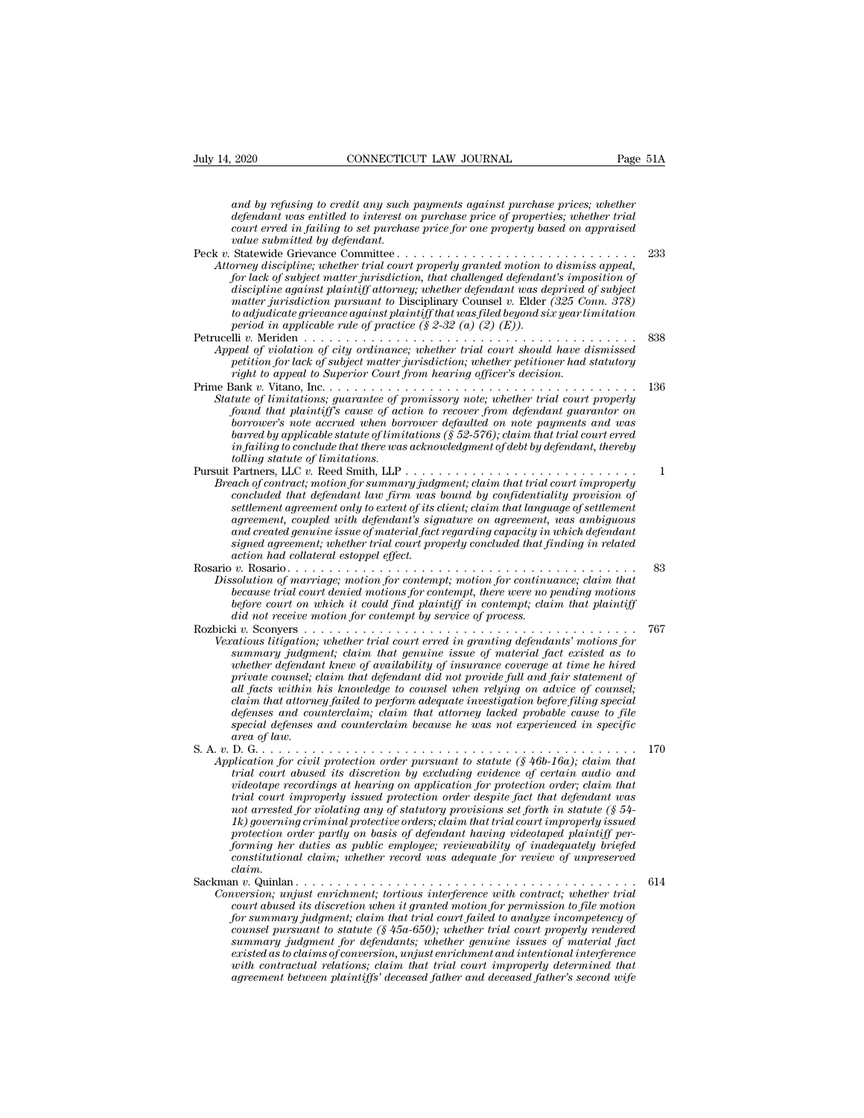*and by refusing to credit any such payments against purchase prices; whether*<br>*defendant was entitled to interest on purchase price of properties; whether trial*<br>*court erred in failing to set murchase price for one prope defendant was entitled to interest on purchase prices; whether* and by refusing to credit any such payments against purchase prices; whether defendant was entitled to interest on purchase price of properties; whether tria *connection LAW JOURNAL* Page 51A<br> *cond by refusing to credit any such payments against purchase prices; whether*<br> *defendant was entitled to interest on purchase price of properties; whether trial*<br> *court erred in faili value 14, 2020* CONNECTICUT LAW JOURNAL Page<br> *and by refusing to credit any such payments against purchase prices; whether*<br> *defendant was entitled to interest on purchase price of properties; whether trial<br>
court erred* and by refusing to credit any such payments against purchase prices; whether<br>defendant was entitled to interest on purchase price of properties; whether trial<br>court erred in failing to set purchase price for one property b and by refusing to credit any such payments against purchase prices; whether defendant was entitled to interest on purchase price of properties; whether trial court erred in failing to set purchase price for one property b and by refusing to credit any such payments against purchase prices; whether<br>defendant was entitled to interest on purchase price of properties; whether trial<br>court erred in failing to set purchase price for one property b

- and by repusing to creati any such payments against purchase prices; whether trial<br>defendant was entitled to interest on purchase price of properties; whether trial<br>court erred in failing to set purchase price for one prop *matter in failing to set purchase price of properties; whether trade court erred in failing to set purchase price for one property based on appraised value submitted by defendant.<br>
Statewide Grievance Committee .......... tourt errea in jauing to set purchase price jor one property based on appraised*<br>
Statewide Grievance Committee.<br> *Statewide Grievance Committee of the property granted motion to dismiss appeal,*<br> *for lack of subject mat partical of distanting for difference Committee (Statewide Grievance Committee (for lack of subject matter traid court properly granted motion to for lack of subject matter jurisdiction, that challenged defendant discipli* Petrucelli *v.* Meriden . . . . . . . . . . . . . . . . . . . . . . . . . . . . . . . . . . . . . . . . <sup>838</sup> *Attorney asscriptine; whether trial court property granted motion to dismiss appeal, for lack of subject matter jurisdiction, that challenged defendant's imposition of discipline against plaintiff attorney; whether defend per lack of subject matter jurisdiction, that challenged defendant is imposition of discripline against plaintiff attorney; whether defendant was deprived of subject matter jurisdiction pursuant to Disciplinary Counsel v. right to appear to appear to appear to Discripting Court from the matter jurisdiction pursuant to Disciplinary Coursel v. Elder (325 Context to adjudicate grievance against plaintiff that was filed beyond six year line pe*
- mater jarisatetion parsuant to Disciplinary Coulset *v*. Eater (32.3 Comt. 316)<br>to adjudicate grievance against plainting finat was filed beyond six year limitation<br>period in applicable rule of practice (§ 2-32 (a) (2)).<br>P *Beriod in applicable rule of practice* (§ 2-32 (*a*) (2) (*E*)).<br> *Statute of inapplicable rule of practice* (§ 2-32 (*a*) (2) (*E*)).<br> *SSSAppeal of violation of city ordinance; whether trial court should have dismissed<br>*
- *found that plaintiff's cause of promissory note, whether trial court should have dismissed*<br>*fould to recover's note of action of city ordinance; whether trial court should have dismissed*<br>*petition for lack of subject ma boration of city ordinance; whether trial court should have dismissed*<br>*betail of violation of city ordinance; whether trial court should have dismissed*<br>*right to appeal to Superior Court from hearing officer's decision. beat of violation of cuy orainance; whether trial court should have aismissed*<br>petition for lack of subject matter jurisdiction; whether petitioner had statutory<br>right to appeal to Superior Court from hearing officer's de *in failing to conclude that there was acknowledgment of debt by defendant, thereby tolling statute of limitations.* Frime Bank v. Vitano, inc.<br>
Statute of limitations; guarantee of promissory note; whether trial court properly<br>
found that plaintiff's cause of action to recover from defendant guarantor on<br>
borrower's note accrued when bo *Breach of contractions; guarantee of promissory note; whether trial court property found that plaintiff's cause of action to recover from defendant guarantor on borrower's note accrued when borrower defaulted on note paym concer's note accrued when borrower defaulted on note payments and was borrower's note corved when borrower defaulted on note payments and was barred in failing to conclude that there was acknowledgment of debt by defenda*
- *settlementa agreement agreement agreement agreement agreement agreement agreeming in galing to conclude that there was acknowledgment of debt by defendant, thereby in its client; client in failing to conclude that there w agreed by applicable statute of timitations (§ 52-576); claim that trial court erred*<br>in failing to conclude that there was acknowledgment of debt by defendant, thereby<br>tolling statute of limitations.<br>Partners, LLC v. Ree *and created genuine indians.*<br> *and conclude that there was acknowledgment of debt by defendant, thereoy*<br> *Partners, LLC v. Reed Smith, LLP*<br> *ach of contract; motion for summary judgment; claim that trial court improper signed agreement; whether trial court properly*<br> **Partners, LLC**  $v$ . Reed Smith, LLP<br> *signed of contract; motion for summary judgment; claim that trial court improperly<br>
concluded that defendant law firm was bound by co action had collateral estoppel effect.* Ereach of contract; motion for summary juagment; claim that trial court improperty<br>concluded that defendant law firm was bound by confidentiality provision of<br>settlement agreement, coupled with defendant's signature on agr *Concluded that agendant law firm was bound by confidentially provision of* settlement agreement only to extent of its client; claim that language of settlement agreement; coupled with defendant's signature on agreement, w *betweenent agreement only to extent of its cirent; ciarm that language of setuement*<br>agreement, coupled with defendant's signature on agreement, was ambiguous<br>and created genuine issue of material fact regarding capacity
- *before court on which is supposed with argendants sugnature on agreement, was amonguous*<br> *before cated genuine issue of material fact regarding capacity in which defendant<br>
signed agreement; whether trial court properly dim a created genume issue of material jact regarding capacity in signed agreement; whether trial court properly concluded that fi* action had collateral estoppel effect.<br> *v.* Rosario . . . . . . . . . . . . . . . . . . Rozbicki *v.* Sconyers . . . . . . . . . . . . . . . . . . . . . . . . . . . . . . . . . . . . . . . . <sup>767</sup> *Veration in the sumplet effect.*<br> *Versation of marriage; motion for contempt; motion for continuance; claim that*<br> *because trial court denied motions for contempt, there were no pending motions*<br> *before court on which*
- *summary judgment; claim that genuine issue of material fact existed as to whether definited motions for contempt; motion for continuance; ciarm that*<br>*because trial court denied motions for contempt, there were no pending motions*<br>*before court on which it could find plaintiff in contempt claim pecause traat court denied motions for contempt, there were no pending motions*<br>*before court on which it could find plaintiff in contempt; claim that plaintiff*<br>*did not receive motion for contempt by service of process. all facts within his knowledge to counsel when relying on advice of counsel; claim that attorney failed to perform adequate investigation before filing special defenses and counterclaim; claim that attorney lacked probable cause to file satious litigation; whether trial court erred in granting defendants' motions for*<br> *summary judgment; claim that genuine issue of material fact existed as to<br>
whether defendant knew of availability of insurance coverage ammary judgma*<br> *area defendant*<br> *all facts within lall facts within lall facts within lall and all facts within lall pack and courned*<br> *all facts and courned afenses area of law.*<br>
D. G. . . . . . . . . . . . . . . . . menter argendant knew of availability of insurance coverage at time he hired<br>private counsel; claim that defendent did not provide full and fair statement of<br>all facts within his knowledge to counsel when relying on advice *Application for civil protection order pursuant to statute for counsel when relying on advice of counsel,*<br> *All facts within his knowledge to counsel when relying on advice of counsel;*<br> *Application to the special defen that interiories within this knowledge to counset when retying on darice of counset,*<br>claim that attorney failed to perform adequate investigation before filing special<br>abefenses and counterclaim because he was not experi
	-

*videotape recordings at hearing on application for protection order; claim that trial court improperly issued protection order despite fact that defendant was not arrested for violating any of statutory provisions set forth in statute (§ 54* area of taw.<br> **170** governing the criminal context of the statute (§ 46b-16a); claim that bication for civil protection order pursuant to statute (§ 46b-16a); claim that trial court abused its discretion by excluding evide *protection of the particular in the protection order pursuant to statute*  $(S$  46b-16a); claim that trial court abused its discretion by excluding evidence of certain audio and videotape recordings at hearing on applicati *forming for civil protection order pursuant to statute* (§ 46b-16a); claim that<br>trial court abused its discretion by excluding evidence of certain audio and<br>videotape recordings at hearing on application for protection or *constrainably the difference of certain and to and independence of certain and the chiral court improperly issued protection order despite fact that the ferdant was rol arrested for violating any of statuory provisions s claim.* rrat court improperly issued protection order despite jact that defendant was<br>not arrested for violating any of statutory provisions set forth in statute (§ 54-<br>Ik) governing criminal protective orders; claim that trial co *Conversion; unjust enrichment; tortious interference with contract; whether trial conversion order partly on basis of defendant having videotaped plaintiff performing her duties as public employee; reviewability of inadeq* 

*court abused in order protective orders; claim that trial court improperty issued*<br>protection order partly on basis of defendant having videotaped plaintiff per-<br>forming her duties as public employee; reviewability of ina protection order partly on basis of defendant having videotaped plaintiff per-<br>forming her duties as public employee; reviewability of inadequately briefed<br>constitutional claim, whether record was adequate for review of un *counsel pursuant to statute (§ 45a-650); whether trial court properly rendered summary judgment for defendants; whether genuine issues of material fact existed as to claims of conversion, unjust enrichment and intentional interference with contractual relations; claim that trial court improperly determined that agreement, unjust enrichment; tortious interference with contract; whether trial court abused its discrettion when it granted motion for permission to file motion for summary judgment; claim that trial court failed to ana*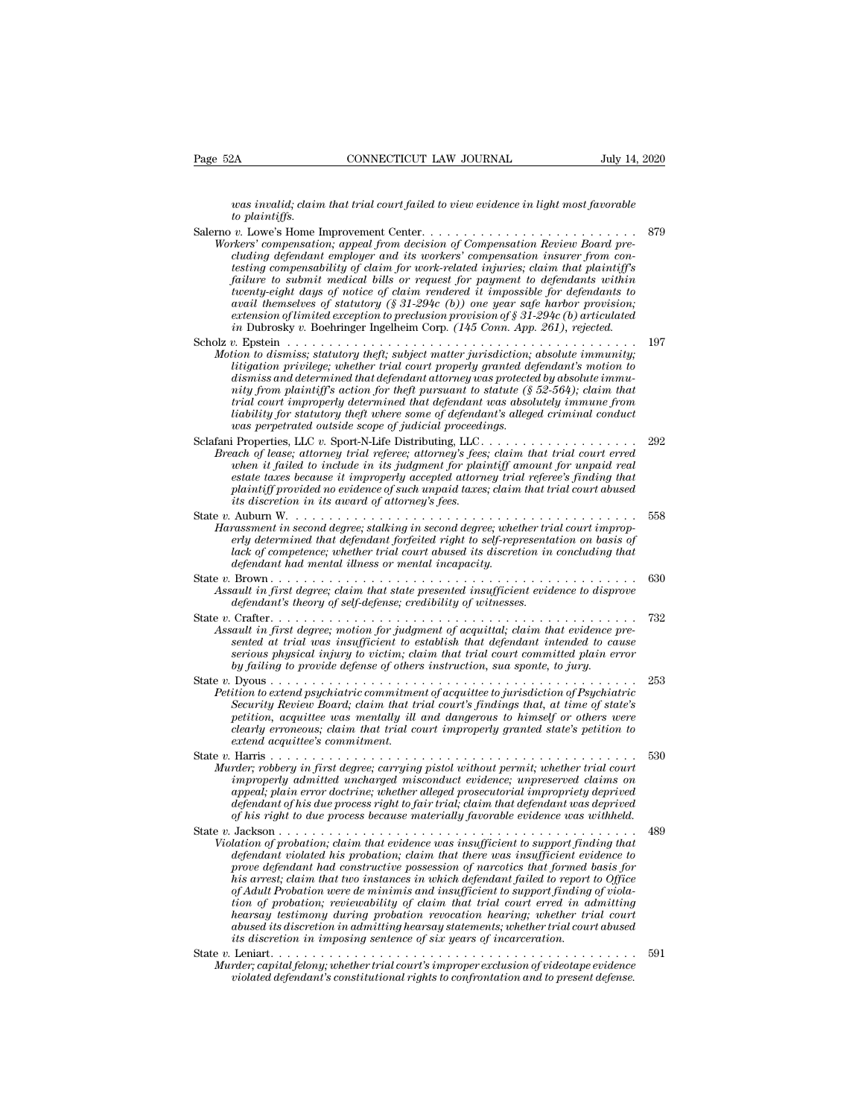*was invalid; claim that trial court failed to view evidence in light most favorable to plaintiffs.*

Page 52A CONNECTICUT LAW JOURNAL July 14, 2020<br>
vas invalid; claim that trial court failed to view evidence in light most favorable<br>
to plaintiffs.<br>
Salerno v. Lowe's Home Improvement Center. . . . . . . . . . . . . . . . *Worker CONNECTICUT LAW JOUKNAL July 14*<br> *Workers' compensation; appeal from decision of Compensation Review Board pre-<br>
duality of Compensation, appeal from decision of Compensation Review Board pre-<br>
<i>Workers' compensat cluding defendant employer and its workers' compensation insurer from conthe plainting compensability of claim fraction of compensation; compensation; compensation; appeal from decision of Compensation Review Board precluding defendant employer and its workers' compensation insurer from conte fallure to submit medial to sinution to submit ffailed to view evidence in light most favorable*<br>to plaintiffs.<br> *f*  $\alpha$  Lowe's Home Improvement Center.<br> *f*  $\alpha$  Lowe's Home Improvement center.<br> *f*  $\alpha$  Compensation Re *the plantity-eight days of notice of claim rendered it impossible of plantity-eight most compensation; appeal from decision of Compensation Review Board precluding defendant employer and its workers' compensation insurer avail themselves of statutory (§ 31-294c (b)) one year safe harbor provision; exters'* compensation; appeal from decision of Compensation Review Board precluding defendant employer and its workers' compensation insurer from concluding defendant employer and its work-related injuries; claim that pla *icharralistics is compensation*; *appeal from decision of Compensation Review Board precluding defendant employer and its work-related injuries; claim find plaintiff's failure to submit medical bills or request for pa* Entricuted in Compensability of claim for work-related injuries; claim that plaintiff's<br>failure to submit medical bills or request for payment to defendants within<br>fuenty-eight days of notice of claim rendered it impossibl *Motion to submit medical bills or request for payment to defendants within*<br>*the therity-eight days of notice of claim rendered it impossible for defendants to*<br>*avail themselves of statutory (§ 31-294c (b)) one year safe littie* is stamin metation into the privilege; yor payment to dependants battery eight days of notice of claim rendered it impossible for defendants to avail themselves of statutory (§ 31-294c (b)) one year safe harbor pr *disting-eight aligs of statutory (§ 31-294c (b)) one year safe harbor provision;*<br>avail themselves of statutory (§ 31-294c (b)) one year safe harbor provision;<br>extension of limited exception to preclusion provision of § 3 *extension of limited exception to preclusion provision of § 31-294c (b) articulated*<br> *in* Dubrosky v. Boehringer Ingelheim Corp. (145 Conn. App. 261), rejected.<br>
Scholz v. Epstein<br> *Motion to dismiss; statutory theft; su trial court improperly determined that defendant was absolutely immune from liability for statutory theft, subject matter jurisdiction, absolute immunity;*<br>*liting to dismiss; statutory theft; subject matter jurisdiction, absolute immunity;*<br>*litingation privilege; whether trial court properly gr was perpetrated outside scope of judicial proceedings.* It is unity and the server that the country and the defendant's motion, the dismiss and determined that defendant attorney was protected by absolute immunity from plaintiff's action for theft pursuant to statute (§ 52-564) *Breach of lease; attorney trial court property gradient attorney was protected by absolute immuinty from plaintiff's action for theft pursuant to statute (§ 52-564); claim that trial court improperty determined that defen when in the minder and we paid in the plaint duomage was proceeded by absolute in minds form plaintiff's action for theft pursuant to statute (§ 52-564); claim that trial court improperly determined that defendant was abs estate taxes because it alternined that defendant was absolutely immume from*<br>*itial court improperly determined that defendant was absolutely immume from*<br>*liability for statutory theft where some of defendant's alleged plaintiff providence weally the some of defendant's alleged criminal conduct*<br>*plability for statutory theft where some of defendant's alleged criminal conduct*<br>*was perpetrated outside scope of judicial proceedings.*<br>**1** *ituation is discretion in the it was perpetrated outside scope of judicial proceedinal proceedinal proceedinal proceedinal proceedinal proceedinal cancel is properties. LLC v. Sport-N-Life Distributing, LLC.* ach of lease Sclafani Properties, LLC v. Sport-N-Life Distributing, LLC .<br> *Breach of lease*; attorney trial referee; attorney's fees; claim that trial court erred<br>
when it failed to include in its judgment for plaintiff amount for unp *Harassment in second degree; stalking in second degree; when it failed to include in its judgment for plaintiff amount for unpaid real estate taxes because it improperly accepted attorney trial referee's finding that plai erly determined to include in its judgment for plaintiff amount for unpaid real*<br>when it failed to include in its judgment for plaintiff amount for unpaid real<br>estate taxes because it improperly accepted attorney frial re *lack is guest in the guest of competence; whether trial competence; finding that* plaintiff provided no evidence of such unpaid taxes; claim that trial court abused its discretion in its award of attorney's fees.<br>Auburn *defendant had mental illness or mental incapacity.* State *v.* Brown . . . . . . . . . . . . . . . . . . . . . . . . . . . . . . . . . . . . . . . . . . . . <sup>630</sup> *Assault in first degree; claim that state presented insufficient evidence to disprove*<br>*Aarassment in second degree; claim in second degree; whether trial court improperly determined that defendant forfeited right to self definition in the community of self-defendant in second degree; talking in second degree; whether trial court abused its discretion in defendant had mental illness or mental incapacity.*<br>Brown  $\dots$   $\dots$   $\dots$   $\dots$   $\dots$   $\dots$ erly determined that defendant forfeited right to self-representation on basis of<br>lack of competence; whether trial court abused its discretion in concluding that<br>defendant had mental illness or mental incapacity.<br>State v. *Assault in first degree; motion for judgment of acquittal; claim that evidence pre-*<br>evidendant *had mental illness or mental incapacity.*<br>Assault in first degree; claim that state presented insufficient evidence to dispr *sented at trial was insufficient to establish that defendant intended to cause Brown*<br> *serious in first degree; claim that state presented insufficient evidence to disprove*<br> *defendant's theory of self-defense; credibility of witnesses.*<br> *Crafter*<br> *Crafter*<br> *Crafter committed plain error*<br> *s by failing to provide defense; claim that state presented insufficient evidence to dispredendant's theory of self-defense; credibility of witnesses.*<br>Crafter  $\ldots$   $\ldots$   $\ldots$   $\ldots$   $\ldots$   $\ldots$   $\ldots$   $\ldots$   $\ldots$   $\ldots$   $\ld$ State *v.* Dyous . . . . . . . . . . . . . . . . . . . . . . . . . . . . . . . . . . . . . . . . . . . . <sup>253</sup> *Petition to extend psychiatric commitment of acquittal; claim that evidence presented at trial was insufficient to establish that defendant intended to cause<br>serious physical injury to victim; claim that trial court commi Security Review Board; claim that trial court in first degree; motion for judgment of acquittal; claim that evidence presented at trial was insufficient to establish that defendant intended to cause serious physical injur petition, acquittee was mention, acquittee in the establish that defendant intended to cause*<br>serious physical injury to victim, claim that trial court committed plain error<br>by failing to provide defense of others instruc *comparison interious physical injury to victim; claim that trial court committed plain error*<br>*claim to provide defense of others instruction, sua sponte, to jury.*<br>
253<br> *Petition to extend psychiatric commitment of acqu extend acquittee's commitment.* State *v.* Harris . . . . . . . . . . . . . . . . . . . . . . . . . . . . . . . . . . . . . . . . . . . . <sup>530</sup> *Petition to extend psychiatric commitment of acquittee to jurisdiction of Psychiatric*<br>*Security Review Board; claim that trial court's findings that, at time of state's*<br>*petition, acquittee was mentally ill and dangerou is security Review Board;* claim that trial court's findings that, at time of state's<br>petition, acquittee was mentally ill and dangerous to himself or others were<br>clearly erroneous; claim that trial court improperly grant *accurity accele bound, count alle in all that court's judings had, at the of since dearly erroneous; claim that trial court improperty granted state's petition to extend acquittee's commitment.*<br>
Harris .................. *defendant of his due process right to fair trial; claim that defendant was deprived of his right to due process because materially favorable evidence was withheld.* State *v.* Jackson . . . . . . . . . . . . . . . . . . . . . . . . . . . . . . . . . . . . . . . . . . . <sup>489</sup> *Violation of probation; carrying pistol without permit; whether trial court improperly admitted uncharged misconduct evidence; unpreserved claims on appeal; plain error doctrine; whether alleged prosecutorial impropriety defendant violated uncharged misconduct evidence; unpreserved claims on*<br>appropring *definited uncharged misconduct evidence; unpreserved claims on*<br>appeal; plain error doctrine; whether alleged prosecutorial impropriety *propenty aumined unchuryed missionality entropenty depinded entropenty plain error doctrine; whether alleged prosecutorial impropriety deprived* of his right to due process right to fair trial; claim that defendant was de *defendant of his due process right to fair trial; claim that defendant of his right to due process right to fair trial; claim that defendant was deprived of his right to due process because materially favorable evidence w of Adult Probation were de minimis and insufficient to support finding of violation of probation; reviewability of claim that trial court erred in admitting hearsay in that evidence was insufficient to support finding that*<br>defendant violated his probation; claim that there was insufficient evidence to<br>prove defendant had constructive possession of narcotics that formed basis dation of probation; claim that evidence was insufficient to support finding that defendant violated his probation; claim that there was insufficient evidence to prove defendant had constructive possession of narcotics tha *defendant voolated has probation; claim that there was insufficient evidence prove defendant had constructive possession of narcotics that formed his arrest; claim that two instances in which defendant failed to report fi* From any tantom and constructer possession of matricial and the propert to Office<br>of Adult Probation were de minimis and insufficient to support finding of viola-<br>tion of probation, reviewability of claim that trial court *Multi Probation were de minimis and insufficient to support finding of violation of probation; reviewability of claim that trial court erred in admitting hearsay testimony during probation revocation hearing; whether tria vion of probation; reviewability of claim that trial court erred in admitting hearsay testimony during probation revocation hearing; whether trial court abused its discretion in admitting hearsay statements; whether trial*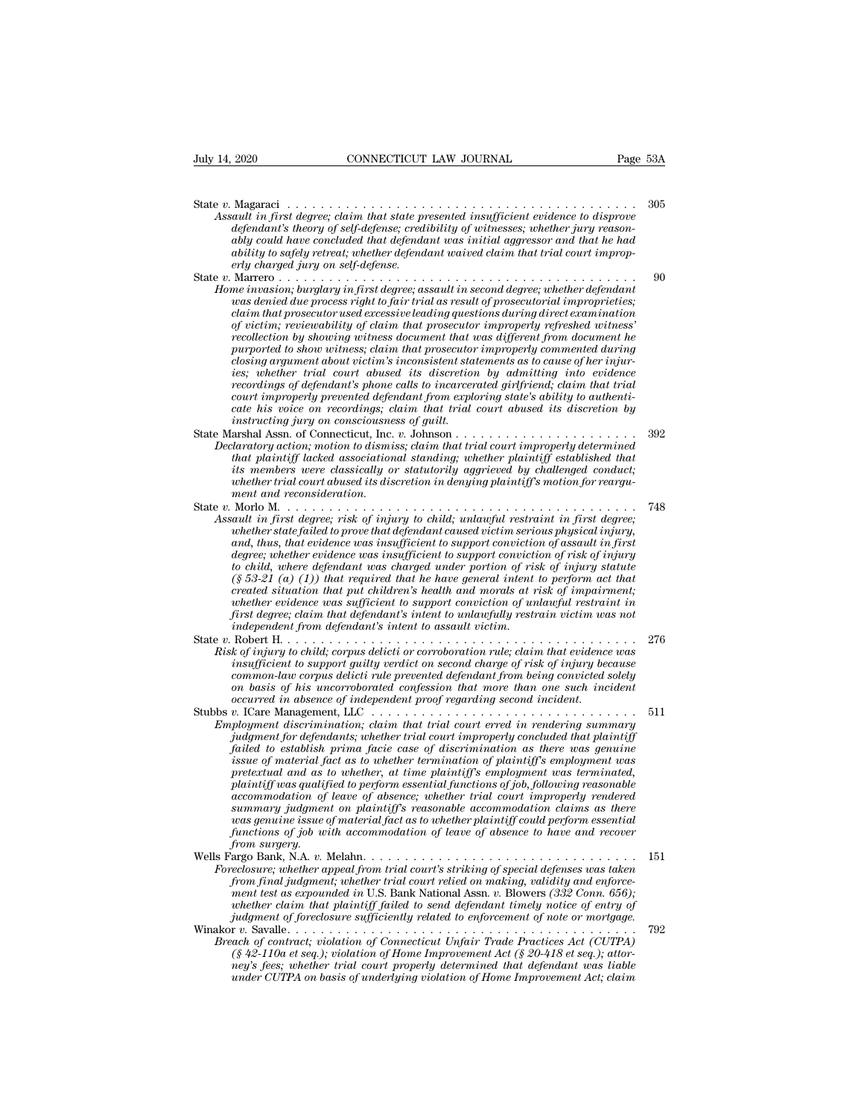State *<sup>v</sup>*. Magaraci . . . . . . . . . . . . . . . . . . . . . . . . . . . . . . . . . . . . . . . . . . <sup>305</sup> *Assault in first degree; claim that state presented insufficient evidence to disprove defendant's theory of self-defense; credibility of witnesses; whether jury reason-<br>ably could have concluded that defendant was initial defendant's theory of self-defendant insulficient evidence to disprove*<br>*defendant's theory of self-defense; credibility of witnesses; whether jury reason-defendant's theory of self-defense; credibility of witnesses; whet* 2020 **and CONNECTICUT LAW JOURNAL Page 53A**<br> **ably could have concluded that state presented insufficient evidence to disprove**<br> *addt in first degree; claim that state presented insufficient evidence to disprove*<br> *adefen ability to safely retreat; whether defendant waived claim that trial court improperlands*<br> *erault in first degree; claim that state production defendant's theory of self-defense; crediably could have concluded that defendantly to safely retreat; whether defend<br>
<i>erly charged jury on self-defense.*<br> State *v*. Magaraci<br>
Assault in first degree; claim that state presented insufficient evidence to disprove<br>
defendant's theory of self-defense; credibility of witnesses; whether jury reason-<br>
ably could have concluded that *F* w. Magaract  $\cdots$   $\cdots$   $\cdots$   $\cdots$   $\cdots$   $\cdots$   $\cdots$   $\cdots$   $\cdots$   $\cdots$   $\cdots$   $\cdots$   $\cdots$   $\cdots$   $\cdots$   $\cdots$   $\cdots$   $\cdots$   $\cdots$   $\cdots$   $\cdots$   $\cdots$   $\cdots$   $\cdots$   $\cdots$   $\cdots$   $\cdots$   $\cdots$   $\cdots$   $\cdots$   $\cdots$   $\cdots$   $\cdots$   $\cdots$   $\$ aut in first aegree; claim that state presented insufficient evidence to assprove<br>defendant's theory of self-defense; credibility of witnesses; whether jury reason-<br>doly could have concluded that defendant was initial aggr *cagendants theory of self-agense; creatioutry of witnesses; whether jury reasonably could have concluded that defendant was initial aggressor and that he had ably concluded that defendant waived claim that trial court imp of victim; reviewablighty of claim that was initial aggressor and that he hadability to safely retreat; whether defendant waived claim that trial court improperly charged jury on self-defendant waived claim that trial cou recollection by showing witness document that was different from document he purported to show witness;* considering that provided that providence in the process right to fair trial as result of prosecutorial improprieties; claim that prosecutor used excessive leading questions during direct exami Marrero . . . . burglary in first degree; assault in second degree; whether defendant in example in the sum of process right to fair trial as result of prosecutorial improprieties; was denied due process right to fair tria *ies; whether trial court abused is discretion abused in mechanity was denied due process right to fair trial as result of prosecutorial improprieties;* claim that prosecutor used excessive leading questions during direct *recordings of defendant's phone calls to increase to inproperties;*<br>claim that prosecutor used excessive leading questions during direct examination<br>of victim; reviewability of claim that prosecutor improperly refreshed w *clarm that prosecutor used excessive leading questions during direct examination* of victim; reviewability of claim that prosecutor improperly refreshed witness' recollection by showing witness document that was different *recollection by showing witness document that was different from document he*<br>*purported to show witness; claim that prosecutor improperly commented during*<br>*closing argument about victim's inconsistent statements as to c instructing jury on consciousness of guilt.* purported to show withess; claim that prosecutor improperty commented during<br>closing argument about victim's inconsistent statements as to cause of her injur-<br>ies; whether trial court abused its discretion by admitting int *Cosing argument about victim's inconsistent statements as to cause of ner injuries; whether trial court abused its discretion by admitting into evidence recordings of defendant's phone calls to incarcerated girlfriend; cl that plaintiff is the court abused its asscretion by admitting into evidence*<br>*the recordings of defendant's phone calls to incarcerated girlfriend; claim that trial*<br>*court improperly prevented defendant from exploring s recordings of agendant's phone calls to incarcerated griffriena; claim that trial court improperly prevented defendant from exploring state's ability to authenticate his voice on recordings; claim that trial court abused whether trial court abused its discretion in denying plaintiff's motion for reargucate nis voice on recordings; constructing jury on consciousne*<br>arshal Assn. of Connecticut, Inc.<br>daratory action; motion to dismit<br>that plaintiff lacked association<br>its members were classically of<br>Morto M. . . . . . . . State *v.* Morlo M. . . . . . . . . . . . . . . . . . . . . . . . . . . . . . . . . . . . . . . . . . . <sup>748</sup> *Assault in first degree; risk of injury to child; unlawful court improperly determined that that plaintiff lacked associational standing; whether plaintiff established hat its members were classically or statutorily aggri whether gailom, motion to ausmiss; ciarm intit trial court improperty determined that that plaintiff lacked associational standing; whether plaintiff stablished that distance its members were classically or statutorily ag and parmty) acked associational standing; whether parmty) established that*<br>*its members were classically or statutorily aggrieved by challenged conduct;*<br>*whether trial court abused its discretion in denying plaintiff's degree; whether evidence was insufficient to support conviction of risk of injury to child, where defendant was charged under portion of reargument and reconsideration.*<br>  $\Delta$  and  $t$  is  $\Delta$  is a charge in the same of injury to child, unlawful restraint in first degree;<br>  $\Delta$  and  $t$  in first degree; *(§ 53-21 (a) (§ 1))* that reconstantion. The main and reconstant in first degree; and that in first degree; whether state failed to prove that defendant caused victim serious physical injury, and, thus, that evidence was *created situation that exerces in the child, unlawful restraint in first degree, and tin first degree; risk of injury to child, unlawful restraint in first degree, and, thus, that evidence was insufficient to support conv ault in first degree; risk of infury to child; unlawful restraint in first degree; whether state failed to prove that defendant caused victim serious physical injury, and, thus, that evidence was insufficient to support c whether state jauled to prove that defendant caused victim serious physical in first* degree; whether evidence was insufficient to support conviction of assault in first degree; whether evidence was insufficient to suppor and, thus, that evidence was insufficient to support convictio<br>degree; whether evidence was insufficient to support convictiti<br>to child, where defendant was charged under portion of ris<br>(§ 53-21 (a) (1)) that required that degree; whener evalence was insufficient to support conviction of risk of injury<br>to child, where defendant was charged under portion of risk of injury statute<br>(§ 53-21 (a) (1)) that required that he have general intent to *Risk of injury to child; corpus delicti rule mere perrorion of rules of*  $S$  *53-21 (a) (1)) that required that he have general intent to perform act that created situation that put children's health and morals at risk of i is* 33-21 (a) (1)) that required that he have general intent to perform act that created situation that put children's health and morals at risk of impairment; whether evidence was sufficient to support conviction of unla *created struation that put chiaren's health and morals at risk of imparment;*<br>whether evidence was sufficient to support conviction of unlawful restraint in<br>first degree; claim that defendant's intent to assault victim.<br>R *onether evidence was sufficient to support conviction of undavful restraint in first degree; claim that defendant's intent to unlawfully restrain victim was not independent from defendants intent to assault victim.*<br>  $\footnotes$ *occurred in absence of independent proof regarding second incident.* Stubbs *v.* ICare Management, LLC . . . . . . . . . . . . . . . . . . . . . . . . . . . . . . . . <sup>511</sup> *Employment discrimination; claim that trial court erred in rendering summary K* of mjury to chua, corpus deticti or corrosoordition rule; claim that evidence was<br>insufficient to support guilty verdict on second charge of risk of injury because<br>common-law corpus delicit rule prevented defendant fro *failing the support guilty vertact on second charge of risk of injury because*<br> *formon-law corpus delicit rule prevented defendant from being convicted solely*<br> *on basis of his uncorroborated confession that more than common-law corpus aeicta rule prevented aegendant from being convicted solety*<br> *on basis of his uncorroborated confession that more than one such incident*<br> *occurred in absence of independent proof regarding second inci pretextual and as to whether, at time plaintiff's employment in and and and and and player metallity ployment discrimination; claim that trial court erred in rendering summary indyment for defendants; whether trial court plaintiff was qualified to perform essential functions of job, following reasonable accommodiscrimination; claim that trial court erred in rendering summary*<br>*ployment discrimination; claim that trial court improperly concluded that plaintiff*<br>*failed to establish prima facie case of discrimination as th* ployment discrimination; claim that trial court erred in rendering summary<br>*judgment for defendants; whether trial court improperly concluded that plaintiff*<br>failed to establish prima facie case of discrimination as there *pudgment for defendants; whether trad court improperty concluded that plaintiff* failed to establish prima facie case of discrimination as there was genuine issue of material fact as to whether termination of plaintiff's *failed to establish prima facie case of discrimination as there was genuine*<br>*fissue of material fact as to whether termination of plaintiff's employment was<br>plaintiff was qualified to perform essential functions of job, form issue of material form surplaintiff was qualiff was qualiff was qualiff was qualified accommodation of form surgery.<br>Algorithm surplane was genuine issue commodation of surplane issue changery.<br>In surgery. Algorithm* pretextual and as to whether, at time planntyf s employment was terminated,<br>plaintiff was qualified to perform essential functions of job , following reasonable<br>accommodation of leave of absence; whether trial court improp plannty was qualified to perform essential functions of joo, jollowing reasonable<br>accommodation of leave of absence; whether trial court impropely rendered<br>summary judgment on plaintiff's reasonable accommodation claims as *accommodation of leave of absence; whether trial court improperly rendered*<br> *summary judgment on plaintiff's reasonable accommodation claims as there*<br> *was genuine issue of material fact as to whether plaintiff could pe mentry juagment on plaintyf s reasonable accommodation claims as there*  $\hat{p}$  and  $\hat{p}$  and  $\hat{p}$  for a ferminal issue of material fact as to whether plaintiff could perform essential functions of job with accommoda *was genume issue of material jact as to whether plaintiff could perform essential functions of job with accommodation of leave of absence to have and recover from surgery.*<br> *argo Bank, N.A. v. Melahn.* . . . . . . . . . *judgment of foreclosure sufficiently related to enforcement of note or mortgage.* Wells Fargo Bank, N.A. v. Melahn.<br>
Foreclosure, whether appeal from trial court's striking of special defenses was taken<br>
from final judgment; whether trial court relied on making, validity and enforce-<br>
ment test as expou *Breach of contract; violation of Connecticut Unfair Trade Practicus in the form final judgment; whether trial court relied on making, validity and enforcement test as expounded in U.S. Bank National Assn. v. Blowers (332 (§ 42-110a et seq.); violation of Home Improvement Act (§ 20-418 et seq.); and enforce-*<br>from final judgment; violation of macking, validity and enforce-<br>ment test as expounded in U.S. Bank National Assn. v. Blowers (332 *nemt test as expounded in U.S. Bank National Assn. v. Blowers (332 Comn. 656);*<br> *ment test as expounded in U.S. Bank National Assn. v. Blowers (332 Comn. 656);*<br> *indgment of foreclosure sufficiently related to enforceme ment test as expounded in U.S. Bank National Assn. v. Blowers (332 Conn. 650);*<br>
whether claim that plaintiff failed to send defendant timely notice of entry of<br>
judgment of foreclosure sufficiently related to enforcement